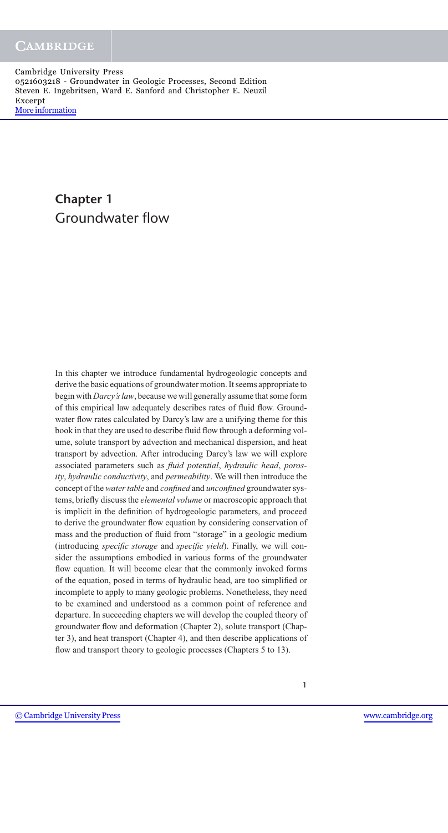# **Chapter 1** Groundwater flow

In this chapter we introduce fundamental hydrogeologic concepts and derive the basic equations of groundwater motion. It seems appropriate to begin with *Darcy's law*, because we will generally assume that some form of this empirical law adequately describes rates of fluid flow. Groundwater flow rates calculated by Darcy's law are a unifying theme for this book in that they are used to describe fluid flow through a deforming volume, solute transport by advection and mechanical dispersion, and heat transport by advection. After introducing Darcy's law we will explore associated parameters such as *fluid potential*, *hydraulic head*, *porosity*, *hydraulic conductivity*, and *permeability*. We will then introduce the concept of the *water table* and *confined* and *unconfined* groundwater systems, briefly discuss the *elemental volume* or macroscopic approach that is implicit in the definition of hydrogeologic parameters, and proceed to derive the groundwater flow equation by considering conservation of mass and the production of fluid from "storage" in a geologic medium (introducing *specific storage* and *specific yield*). Finally, we will consider the assumptions embodied in various forms of the groundwater flow equation. It will become clear that the commonly invoked forms of the equation, posed in terms of hydraulic head, are too simplified or incomplete to apply to many geologic problems. Nonetheless, they need to be examined and understood as a common point of reference and departure. In succeeding chapters we will develop the coupled theory of groundwater flow and deformation (Chapter 2), solute transport (Chapter 3), and heat transport (Chapter 4), and then describe applications of flow and transport theory to geologic processes (Chapters 5 to 13).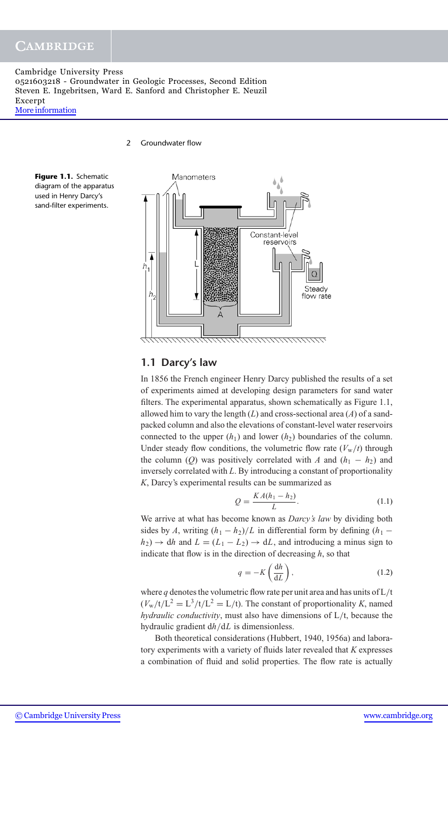# **CAMBRIDGE**

Cambridge University Press 0521603218 - Groundwater in Geologic Processes, Second Edition Steven E. Ingebritsen, Ward E. Sanford and Christopher E. Neuzil Excerpt [More information](http://www.cambridge.org/0521603218)

2 Groundwater flow





### **1.1 Darcy's law**

In 1856 the French engineer Henry Darcy published the results of a set of experiments aimed at developing design parameters for sand water filters. The experimental apparatus, shown schematically as Figure 1.1, allowed him to vary the length (*L*) and cross-sectional area (*A*) of a sandpacked column and also the elevations of constant-level water reservoirs connected to the upper  $(h_1)$  and lower  $(h_2)$  boundaries of the column. Under steady flow conditions, the volumetric flow rate  $(V_w/t)$  through the column (*Q*) was positively correlated with *A* and  $(h_1 - h_2)$  and inversely correlated with *L*. By introducing a constant of proportionality *K*, Darcy's experimental results can be summarized as

$$
Q = \frac{KA(h_1 - h_2)}{L}.
$$
 (1.1)

We arrive at what has become known as *Darcy's law* by dividing both sides by *A*, writing  $(h_1 - h_2)/L$  in differential form by defining  $(h_1 - h_2)/L$  $h_2$ )  $\rightarrow$  dh and  $L = (L_1 - L_2) \rightarrow dL$ , and introducing a minus sign to indicate that flow is in the direction of decreasing *h*, so that

$$
q = -K\left(\frac{\mathrm{d}h}{\mathrm{d}L}\right),\tag{1.2}
$$

where *q* denotes the volumetric flow rate per unit area and has units of L/t  $(V_w/t/L^2 = L^3/t/L^2 = L/t)$ . The constant of proportionality *K*, named *hydraulic conductivity*, must also have dimensions of L/t, because the hydraulic gradient d*h*/d*L* is dimensionless.

Both theoretical considerations (Hubbert, 1940, 1956a) and laboratory experiments with a variety of fluids later revealed that *K* expresses a combination of fluid and solid properties. The flow rate is actually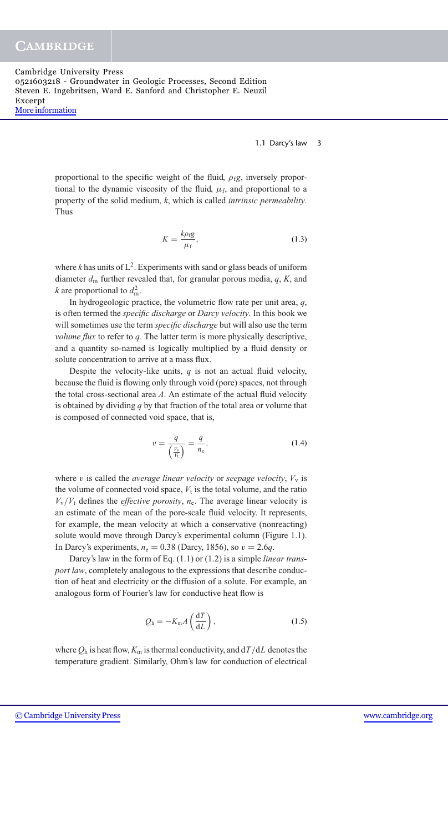**CAMBRIDGE** 

Cambridge University Press 0521603218 - Groundwater in Geologic Processes, Second Edition Steven E. Ingebritsen, Ward E. Sanford and Christopher E. Neuzil Excerpt [More information](http://www.cambridge.org/0521603218)

1.1 Darcy's law 3

proportional to the specific weight of the fluid,  $\rho_f g$ , inversely proportional to the dynamic viscosity of the fluid,  $\mu_f$ , and proportional to a property of the solid medium, *k*, which is called *intrinsic permeability*. Thus

$$
K = \frac{k\rho_{\rm f}g}{\mu_{\rm f}},\tag{1.3}
$$

where  $k$  has units of  $L^2$ . Experiments with sand or glass beads of uniform diameter *d*<sup>m</sup> further revealed that, for granular porous media, *q*, *K*, and *k* are proportional to  $d_{\text{m}}^2$ .

In hydrogeologic practice, the volumetric flow rate per unit area, *q*, is often termed the *specific discharge* or *Darcy velocity*. In this book we will sometimes use the term *specific discharge* but will also use the term *volume flux* to refer to *q*. The latter term is more physically descriptive, and a quantity so-named is logically multiplied by a fluid density or solute concentration to arrive at a mass flux.

Despite the velocity-like units,  $q$  is not an actual fluid velocity, because the fluid is flowing only through void (pore) spaces, not through the total cross-sectional area *A*. An estimate of the actual fluid velocity is obtained by dividing *q* by that fraction of the total area or volume that is composed of connected void space, that is,

$$
v = \frac{q}{\left(\frac{V_v}{V_t}\right)} = \frac{q}{n_e},\tag{1.4}
$$

where v is called the *average linear velocity* or *seepage velocity*,  $V_v$  is the volume of connected void space,  $V_t$  is the total volume, and the ratio  $V_v/V_t$  defines the *effective porosity*,  $n_e$ . The average linear velocity is an estimate of the mean of the pore-scale fluid velocity. It represents, for example, the mean velocity at which a conservative (nonreacting) solute would move through Darcy's experimental column (Figure 1.1). In Darcy's experiments,  $n_e = 0.38$  (Darcy, 1856), so  $v = 2.6q$ .

Darcy's law in the form of Eq. (1.1) or (1.2) is a simple *linear transport law*, completely analogous to the expressions that describe conduction of heat and electricity or the diffusion of a solute. For example, an analogous form of Fourier's law for conductive heat flow is

$$
Q_{\rm h} = -K_{\rm m}A\left(\frac{\mathrm{d}T}{\mathrm{d}L}\right),\tag{1.5}
$$

where  $Q_h$  is heat flow,  $K_m$  is thermal conductivity, and  $d/dL$  denotes the temperature gradient. Similarly, Ohm's law for conduction of electrical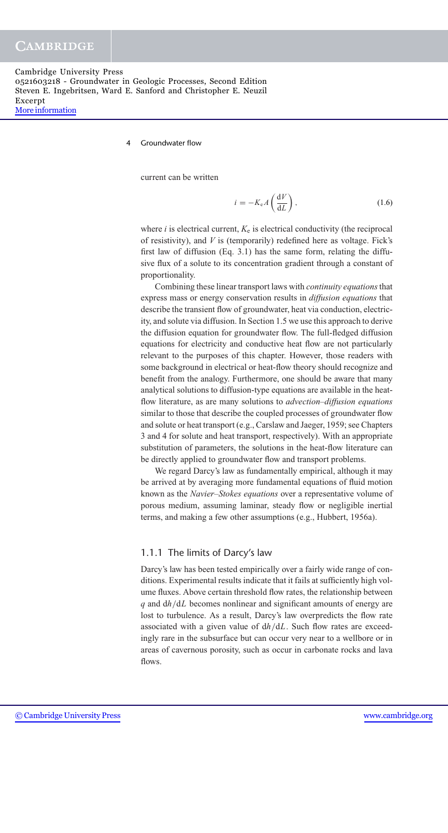**Groundwater flow** 

current can be written

$$
i = -K_e A \left(\frac{\mathrm{d}V}{\mathrm{d}L}\right),\tag{1.6}
$$

where  $i$  is electrical current,  $K_e$  is electrical conductivity (the reciprocal of resistivity), and *V* is (temporarily) redefined here as voltage. Fick's first law of diffusion (Eq. 3.1) has the same form, relating the diffusive flux of a solute to its concentration gradient through a constant of proportionality.

Combining these linear transport laws with *continuity equations*that express mass or energy conservation results in *diffusion equations* that describe the transient flow of groundwater, heat via conduction, electricity, and solute via diffusion. In Section 1.5 we use this approach to derive the diffusion equation for groundwater flow. The full-fledged diffusion equations for electricity and conductive heat flow are not particularly relevant to the purposes of this chapter. However, those readers with some background in electrical or heat-flow theory should recognize and benefit from the analogy. Furthermore, one should be aware that many analytical solutions to diffusion-type equations are available in the heatflow literature, as are many solutions to *advection–diffusion equations* similar to those that describe the coupled processes of groundwater flow and solute or heat transport (e.g., Carslaw and Jaeger, 1959; see Chapters 3 and 4 for solute and heat transport, respectively). With an appropriate substitution of parameters, the solutions in the heat-flow literature can be directly applied to groundwater flow and transport problems.

We regard Darcy's law as fundamentally empirical, although it may be arrived at by averaging more fundamental equations of fluid motion known as the *Navier–Stokes equations* over a representative volume of porous medium, assuming laminar, steady flow or negligible inertial terms, and making a few other assumptions (e.g., Hubbert, 1956a).

#### 1.1.1 The limits of Darcy's law

Darcy's law has been tested empirically over a fairly wide range of conditions. Experimental results indicate that it fails at sufficiently high volume fluxes. Above certain threshold flow rates, the relationship between *q* and d*h*/d*L* becomes nonlinear and significant amounts of energy are lost to turbulence. As a result, Darcy's law overpredicts the flow rate associated with a given value of d*h*/d*L*. Such flow rates are exceedingly rare in the subsurface but can occur very near to a wellbore or in areas of cavernous porosity, such as occur in carbonate rocks and lava flows.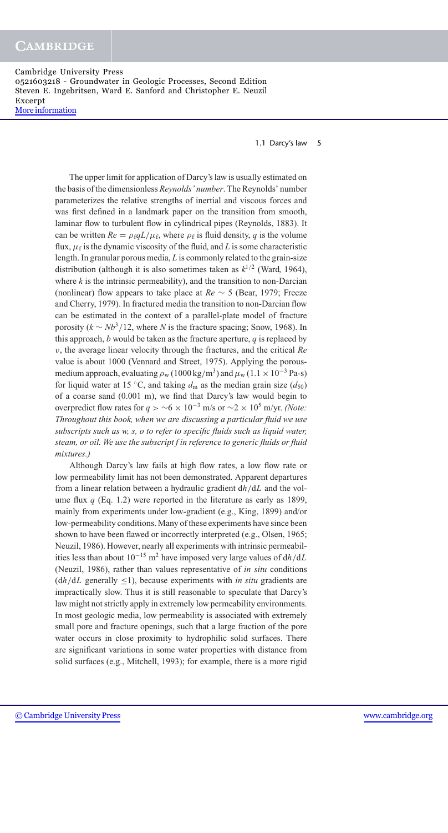1.1 Darcy's law 5

The upper limit for application of Darcy's law is usually estimated on the basis of the dimensionless *Reynolds' number*. The Reynolds' number parameterizes the relative strengths of inertial and viscous forces and was first defined in a landmark paper on the transition from smooth, laminar flow to turbulent flow in cylindrical pipes (Reynolds, 1883). It can be written  $Re = \rho_f q L / \mu_f$ , where  $\rho_f$  is fluid density, *q* is the volume flux,  $\mu_f$  is the dynamic viscosity of the fluid, and *L* is some characteristic length. In granular porous media, *L* is commonly related to the grain-size distribution (although it is also sometimes taken as  $k^{1/2}$  (Ward, 1964), where  $k$  is the intrinsic permeability), and the transition to non-Darcian (nonlinear) flow appears to take place at *Re* ∼ 5 (Bear, 1979; Freeze and Cherry, 1979). In fractured media the transition to non-Darcian flow can be estimated in the context of a parallel-plate model of fracture porosity  $(k \sim Nb^3/12$ , where *N* is the fracture spacing; Snow, 1968). In this approach, *b* would be taken as the fracture aperture, *q* is replaced by v, the average linear velocity through the fractures, and the critical *Re* value is about 1000 (Vennard and Street, 1975). Applying the porousmedium approach, evaluating  $\rho_w (1000 \text{ kg/m}^3)$  and  $\mu_w (1.1 \times 10^{-3} \text{ Pa-s})$ for liquid water at 15 °C, and taking  $d_m$  as the median grain size  $(d_{50})$ of a coarse sand (0.001 m), we find that Darcy's law would begin to overpredict flow rates for *q* >  $\sim$ 6 × 10<sup>-3</sup> m/s or  $\sim$ 2 × 10<sup>5</sup> m/yr. *(Note: Throughout this book, when we are discussing a particular fluid we use subscripts such as w, s, o to refer to specific fluids such as liquid water, steam, or oil. We use the subscript f in reference to generic fluids or fluid mixtures.)*

Although Darcy's law fails at high flow rates, a low flow rate or low permeability limit has not been demonstrated. Apparent departures from a linear relation between a hydraulic gradient d*h*/d*L* and the volume flux  $q$  (Eq. 1.2) were reported in the literature as early as 1899, mainly from experiments under low-gradient (e.g., King, 1899) and/or low-permeability conditions. Many of these experiments have since been shown to have been flawed or incorrectly interpreted (e.g., Olsen, 1965; Neuzil, 1986). However, nearly all experiments with intrinsic permeabilities less than about 10−<sup>15</sup> m2 have imposed very large values of d*h*/d*L* (Neuzil, 1986), rather than values representative of *in situ* conditions  $(dh/dL)$  generally  $\leq$ 1), because experiments with *in situ* gradients are impractically slow. Thus it is still reasonable to speculate that Darcy's law might not strictly apply in extremely low permeability environments. In most geologic media, low permeability is associated with extremely small pore and fracture openings, such that a large fraction of the pore water occurs in close proximity to hydrophilic solid surfaces. There are significant variations in some water properties with distance from solid surfaces (e.g., Mitchell, 1993); for example, there is a more rigid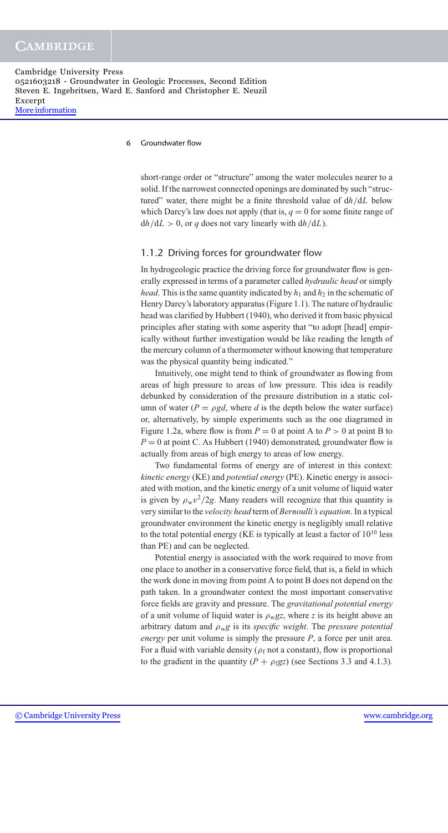#### 6 Groundwater flow

short-range order or "structure" among the water molecules nearer to a solid. If the narrowest connected openings are dominated by such "structured" water, there might be a finite threshold value of d*h*/d*L* below which Darcy's law does not apply (that is,  $q = 0$  for some finite range of  $dh/dL > 0$ , or *q* does not vary linearly with  $dh/dL$ ).

### 1.1.2 Driving forces for groundwater flow

In hydrogeologic practice the driving force for groundwater flow is generally expressed in terms of a parameter called *hydraulic head* or simply *head*. This is the same quantity indicated by  $h_1$  and  $h_2$  in the schematic of Henry Darcy's laboratory apparatus (Figure 1.1). The nature of hydraulic head was clarified by Hubbert (1940), who derived it from basic physical principles after stating with some asperity that "to adopt [head] empirically without further investigation would be like reading the length of the mercury column of a thermometer without knowing that temperature was the physical quantity being indicated."

Intuitively, one might tend to think of groundwater as flowing from areas of high pressure to areas of low pressure. This idea is readily debunked by consideration of the pressure distribution in a static column of water ( $P = \rho g d$ , where *d* is the depth below the water surface) or, alternatively, by simple experiments such as the one diagramed in Figure 1.2a, where flow is from  $P = 0$  at point A to  $P > 0$  at point B to  $P = 0$  at point C. As Hubbert (1940) demonstrated, groundwater flow is actually from areas of high energy to areas of low energy.

Two fundamental forms of energy are of interest in this context: *kinetic energy* (KE) and *potential energy* (PE). Kinetic energy is associated with motion, and the kinetic energy of a unit volume of liquid water is given by  $\rho_w v^2 / 2g$ . Many readers will recognize that this quantity is very similar to the *velocity head* term of *Bernoulli's equation*. In a typical groundwater environment the kinetic energy is negligibly small relative to the total potential energy (KE is typically at least a factor of  $10^{10}$  less than PE) and can be neglected.

Potential energy is associated with the work required to move from one place to another in a conservative force field, that is, a field in which the work done in moving from point A to point B does not depend on the path taken. In a groundwater context the most important conservative force fields are gravity and pressure. The *gravitational potential energy* of a unit volume of liquid water is  $\rho_{\rm w}$ gz, where *z* is its height above an arbitrary datum and ρw*g* is its *specific weight*. The *pressure potential energy* per unit volume is simply the pressure *P*, a force per unit area. For a fluid with variable density ( $\rho_f$  not a constant), flow is proportional to the gradient in the quantity  $(P + \rho_f g z)$  (see Sections 3.3 and 4.1.3).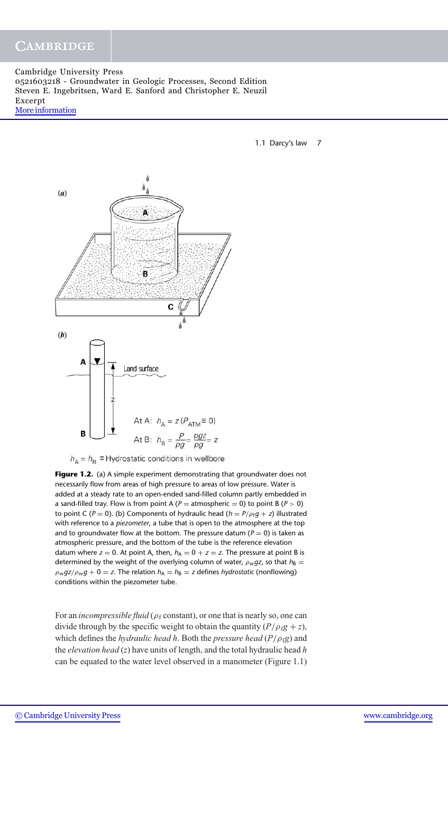## **CAMBRIDGE**

Cambridge University Press 0521603218 - Groundwater in Geologic Processes, Second Edition Steven E. Ingebritsen, Ward E. Sanford and Christopher E. Neuzil Excerpt [More information](http://www.cambridge.org/0521603218)

1.1 Darcy's law 7



 $h_A = h_B \equiv$  Hydrostatic conditions in wellbore

**Figure 1.2.** (a) A simple experiment demonstrating that groundwater does not necessarily flow from areas of high pressure to areas of low pressure. Water is added at a steady rate to an open-ended sand-filled column partly embedded in a sand-filled tray. Flow is from point A ( $P =$  atmospheric = 0) to point B ( $P > 0$ ) to point C ( $P = 0$ ). (b) Components of hydraulic head ( $h = P/\rho_f g + z$ ) illustrated with reference to a *piezometer*, a tube that is open to the atmosphere at the top and to groundwater flow at the bottom. The pressure datum ( $P = 0$ ) is taken as atmospheric pressure, and the bottom of the tube is the reference elevation datum where  $z = 0$ . At point A, then,  $h_A = 0 + z = z$ . The pressure at point B is determined by the weight of the overlying column of water,  $\rho_w g z$ , so that  $h_B =$  $\rho_w$ *gz*/ $\rho_w$ *g* + 0 = *z*. The relation  $h_A = h_B = z$  defines *hydrostatic* (nonflowing) conditions within the piezometer tube.

For an *incompressible fluid* ( $\rho_f$  constant), or one that is nearly so, one can divide through by the specific weight to obtain the quantity  $(P/\rho_f g + z)$ , which defines the *hydraulic head h*. Both the *pressure head* ( $P/\rho_f$ *g*) and the *elevation head* (*z*) have units of length, and the total hydraulic head *h* can be equated to the water level observed in a manometer (Figure 1.1)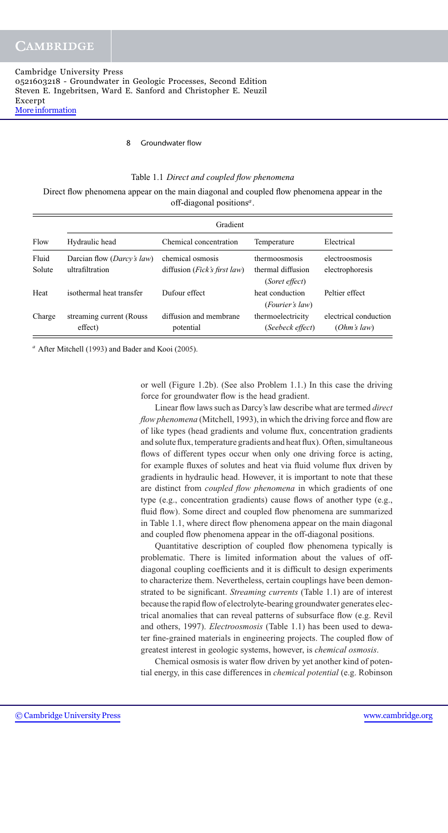#### 8 Groundwater flow

#### Table 1.1 *Direct and coupled flow phenomena*

Direct flow phenomena appear on the main diagonal and coupled flow phenomena appear in the off-diagonal positions*a*.

| Flow   | Gradient                            |                                       |                   |                       |
|--------|-------------------------------------|---------------------------------------|-------------------|-----------------------|
|        | Hydraulic head                      | Chemical concentration                | Temperature       | Electrical            |
| Fluid  | Darcian flow ( <i>Darcy's law</i> ) | chemical osmosis                      | thermoosmosis     | electroosmosis        |
| Solute | ultrafiltration                     | diffusion ( <i>Fick's first law</i> ) | thermal diffusion | electrophoresis       |
|        |                                     |                                       | (Soret effect)    |                       |
| Heat   | isothermal heat transfer            | Dufour effect                         | heat conduction   | Peltier effect        |
|        |                                     |                                       | (Fourier's law)   |                       |
| Charge | streaming current (Rouss)           | diffusion and membrane                | thermoelectricity | electrical conduction |
|        | effect)                             | potential                             | (Seebeck effect)  | (Ohm's law)           |

*<sup>a</sup>* After Mitchell (1993) and Bader and Kooi (2005).

or well (Figure 1.2b). (See also Problem 1.1.) In this case the driving force for groundwater flow is the head gradient.

Linear flow laws such as Darcy's law describe what are termed *direct flow phenomena* (Mitchell, 1993), in which the driving force and flow are of like types (head gradients and volume flux, concentration gradients and solute flux, temperature gradients and heat flux). Often, simultaneous flows of different types occur when only one driving force is acting, for example fluxes of solutes and heat via fluid volume flux driven by gradients in hydraulic head. However, it is important to note that these are distinct from *coupled flow phenomena* in which gradients of one type (e.g., concentration gradients) cause flows of another type (e.g., fluid flow). Some direct and coupled flow phenomena are summarized in Table 1.1, where direct flow phenomena appear on the main diagonal and coupled flow phenomena appear in the off-diagonal positions.

Quantitative description of coupled flow phenomena typically is problematic. There is limited information about the values of offdiagonal coupling coefficients and it is difficult to design experiments to characterize them. Nevertheless, certain couplings have been demonstrated to be significant. *Streaming currents* (Table 1.1) are of interest because the rapid flow of electrolyte-bearing groundwater generates electrical anomalies that can reveal patterns of subsurface flow (e.g. Revil and others, 1997). *Electroosmosis* (Table 1.1) has been used to dewater fine-grained materials in engineering projects. The coupled flow of greatest interest in geologic systems, however, is *chemical osmosis*.

Chemical osmosis is water flow driven by yet another kind of potential energy, in this case differences in *chemical potential* (e.g. Robinson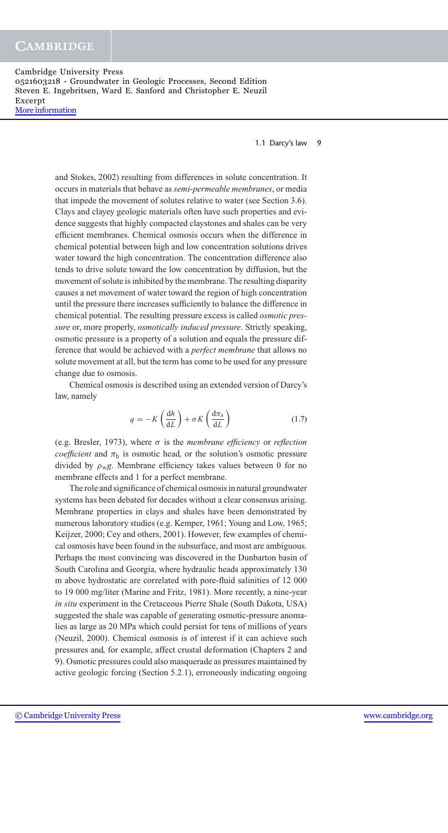1.1 Darcy's law 9

and Stokes, 2002) resulting from differences in solute concentration. It occurs in materials that behave as *semi-permeable membranes*, or media that impede the movement of solutes relative to water (see Section 3.6). Clays and clayey geologic materials often have such properties and evidence suggests that highly compacted claystones and shales can be very efficient membranes. Chemical osmosis occurs when the difference in chemical potential between high and low concentration solutions drives water toward the high concentration. The concentration difference also tends to drive solute toward the low concentration by diffusion, but the movement of solute is inhibited by the membrane. The resulting disparity causes a net movement of water toward the region of high concentration until the pressure there increases sufficiently to balance the difference in chemical potential. The resulting pressure excess is called *osmotic pressure* or, more properly, *osmotically induced pressure*. Strictly speaking, osmotic pressure is a property of a solution and equals the pressure difference that would be achieved with a *perfect membrane* that allows no solute movement at all, but the term has come to be used for any pressure change due to osmosis.

Chemical osmosis is described using an extended version of Darcy's law, namely

$$
q = -K\left(\frac{\mathrm{d}h}{\mathrm{d}L}\right) + \sigma K\left(\frac{\mathrm{d}\pi_h}{\mathrm{d}L}\right) \tag{1.7}
$$

(e.g. Bresler, 1973), where σ is the *membrane efficiency* or *reflection coefficient* and  $\pi_h$  is osmotic head, or the solution's osmotic pressure divided by  $\rho_{\rm w}g$ . Membrane efficiency takes values between 0 for no membrane effects and 1 for a perfect membrane.

The role and significance of chemical osmosis in natural groundwater systems has been debated for decades without a clear consensus arising. Membrane properties in clays and shales have been demonstrated by numerous laboratory studies (e.g. Kemper, 1961; Young and Low, 1965; Keijzer, 2000; Cey and others, 2001). However, few examples of chemical osmosis have been found in the subsurface, and most are ambiguous. Perhaps the most convincing was discovered in the Dunbarton basin of South Carolina and Georgia, where hydraulic heads approximately 130 m above hydrostatic are correlated with pore-fluid salinities of 12 000 to 19 000 mg/liter (Marine and Fritz, 1981). More recently, a nine-year *in situ* experiment in the Cretaceous Pierre Shale (South Dakota, USA) suggested the shale was capable of generating osmotic-pressure anomalies as large as 20 MPa which could persist for tens of millions of years (Neuzil, 2000). Chemical osmosis is of interest if it can achieve such pressures and, for example, affect crustal deformation (Chapters 2 and 9). Osmotic pressures could also masquerade as pressures maintained by active geologic forcing (Section 5.2.1), erroneously indicating ongoing